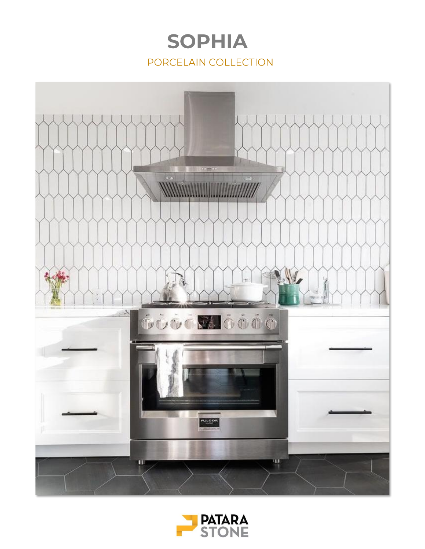## **SOPHIA** PORCELAIN COLLECTION



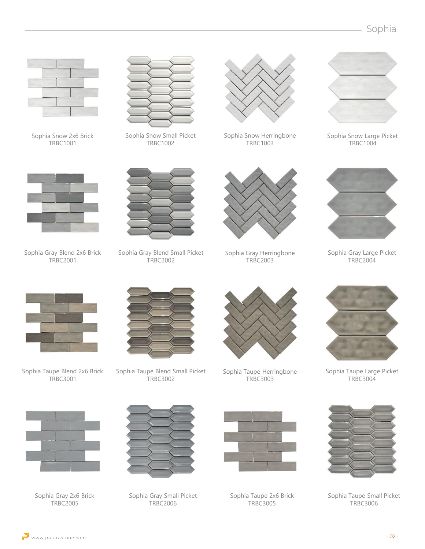

Sophia Snow 2x6 Brick TRBC1001



Sophia Snow Small Picket TRBC1002



Sophia Snow Herringbone TRBC1003



Sophia Snow Large Picket TRBC1004



Sophia Gray Blend 2x6 Brick TRBC2001



Sophia Gray Blend Small Picket TRBC2002



Sophia Gray Herringbone TRBC2003



Sophia Taupe Herringbone TRBC3003



Sophia Gray Large Picket TRBC2004



Sophia Taupe Large Picket TRBC3004



Sophia Taupe Blend 2x6 Brick TRBC3001

Sophia Gray 2x6 Brick TRBC2005



Sophia Taupe Blend Small Picket TRBC3002

Sophia Gray Small Picket TRBC2006



Sophia Taupe 2x6 Brick TRBC3005



Sophia Taupe Small Picket TRBC3006